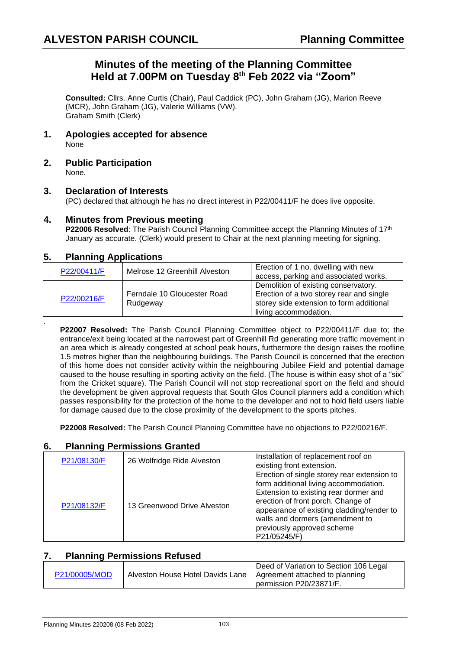# **Minutes of the meeting of the Planning Committee Held at 7.00PM on Tuesday 8 th Feb 2022 via "Zoom"**

**Consulted:** Cllrs. Anne Curtis (Chair), Paul Caddick (PC), John Graham (JG), Marion Reeve (MCR), John Graham (JG), Valerie Williams (VW). Graham Smith (Clerk)

- **1. Apologies accepted for absence** None
- **2. Public Participation** None.

#### **3. Declaration of Interests**

(PC) declared that although he has no direct interest in P22/00411/F he does live opposite.

#### **4. Minutes from Previous meeting**

**P22006 Resolved**: The Parish Council Planning Committee accept the Planning Minutes of 17<sup>th</sup> January as accurate. (Clerk) would present to Chair at the next planning meeting for signing.

### **5. Planning Applications**

.

| P22/00411/F | Melrose 12 Greenhill Alveston           | Erection of 1 no. dwelling with new<br>access, parking and associated works.                                                                          |
|-------------|-----------------------------------------|-------------------------------------------------------------------------------------------------------------------------------------------------------|
| P22/00216/F | Ferndale 10 Gloucester Road<br>Rudgeway | Demolition of existing conservatory.<br>Erection of a two storey rear and single<br>storey side extension to form additional<br>living accommodation. |

**P22007 Resolved:** The Parish Council Planning Committee object to P22/00411/F due to; the entrance/exit being located at the narrowest part of Greenhill Rd generating more traffic movement in an area which is already congested at school peak hours, furthermore the design raises the roofline 1.5 metres higher than the neighbouring buildings. The Parish Council is concerned that the erection of this home does not consider activity within the neighbouring Jubilee Field and potential damage caused to the house resulting in sporting activity on the field. (The house is within easy shot of a "six" from the Cricket square). The Parish Council will not stop recreational sport on the field and should the development be given approval requests that South Glos Council planners add a condition which passes responsibility for the protection of the home to the developer and not to hold field users liable for damage caused due to the close proximity of the development to the sports pitches.

**P22008 Resolved:** The Parish Council Planning Committee have no objections to P22/00216/F.

### **6. Planning Permissions Granted**

| P21/08130/F | 26 Wolfridge Ride Alveston  | Installation of replacement roof on<br>existing front extension.                                                                                                                                                                                                                                  |
|-------------|-----------------------------|---------------------------------------------------------------------------------------------------------------------------------------------------------------------------------------------------------------------------------------------------------------------------------------------------|
| P21/08132/F | 13 Greenwood Drive Alveston | Erection of single storey rear extension to<br>form additional living accommodation.<br>Extension to existing rear dormer and<br>erection of front porch. Change of<br>appearance of existing cladding/render to<br>walls and dormers (amendment to<br>previously approved scheme<br>P21/05245/F) |

### **7. Planning Permissions Refused**

|               |                                                                   | Deed of Variation to Section 106 Legal |
|---------------|-------------------------------------------------------------------|----------------------------------------|
| P21/00005/MOD | Alveston House Hotel Davids Lane   Agreement attached to planning |                                        |
|               |                                                                   | permission P20/23871/F.                |